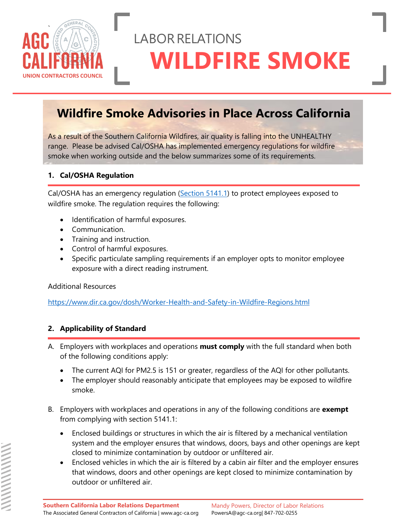

# LABORRELATIONS **WILDFIRE SMOKE**

### **Wildfire Smoke Advisories in Place Across California**

As a result of the Southern California Wildfires, air quality is falling into the UNHEALTHY range. Please be advised Cal/OSHA has implemented emergency regulations for wildfire smoke when working outside and the below summarizes some of its requirements.

#### **1. Cal/OSHA Regulation**

Cal/OSHA has an emergency regulation [\(Section 5141.1\)](https://www.dir.ca.gov/title8/5141_1.html) to protect employees exposed to wildfire smoke. The regulation requires the following:

- Identification of harmful exposures.
- Communication.
- Training and instruction.
- Control of harmful exposures.
- Specific particulate sampling requirements if an employer opts to monitor employee exposure with a direct reading instrument.

Additional Resources

<https://www.dir.ca.gov/dosh/Worker-Health-and-Safety-in-Wildfire-Regions.html>

#### **2. Applicability of Standard**

- A. Employers with workplaces and operations **must comply** with the full standard when both of the following conditions apply:
	- The current AQI for PM2.5 is 151 or greater, regardless of the AQI for other pollutants.
	- The employer should reasonably anticipate that employees may be exposed to wildfire smoke.
- B. Employers with workplaces and operations in any of the following conditions are **exempt** from complying with section 5141.1:
	- Enclosed buildings or structures in which the air is filtered by a mechanical ventilation system and the employer ensures that windows, doors, bays and other openings are kept closed to minimize contamination by outdoor or unfiltered air.
	- Enclosed vehicles in which the air is filtered by a cabin air filter and the employer ensures that windows, doors and other openings are kept closed to minimize contamination by outdoor or unfiltered air.